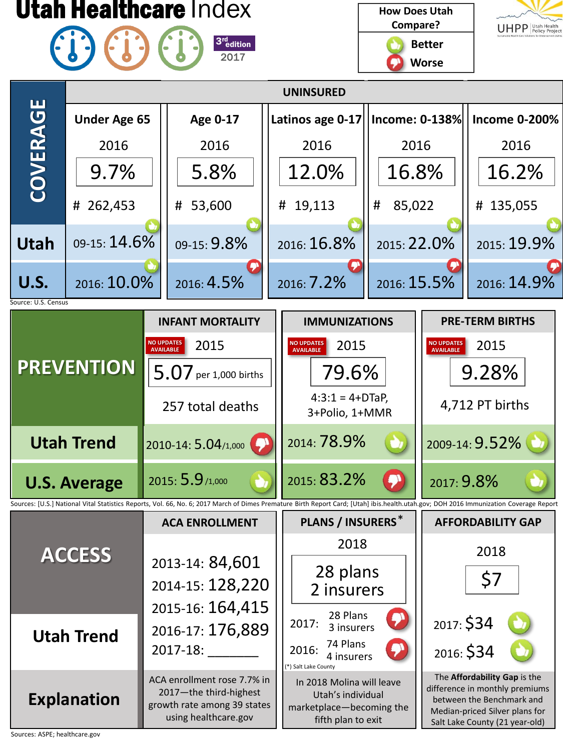